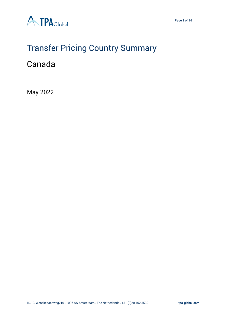

# Transfer Pricing Country Summary

### Canada

May 2022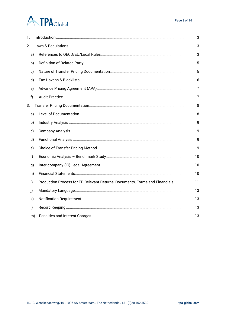## **ATPA**Global

| 1.           |    |                                                                                |
|--------------|----|--------------------------------------------------------------------------------|
| 2.           |    |                                                                                |
| a)           |    |                                                                                |
| b)           |    |                                                                                |
| c)           |    |                                                                                |
| d)           |    |                                                                                |
| e)           |    |                                                                                |
| f)           |    |                                                                                |
| 3.           |    |                                                                                |
| a)           |    |                                                                                |
| b)           |    |                                                                                |
| c)           |    |                                                                                |
| d)           |    |                                                                                |
| e)           |    |                                                                                |
| f)           |    |                                                                                |
| g)           |    |                                                                                |
| h)           |    |                                                                                |
| i)           |    | Production Process for TP Relevant Returns, Documents, Forms and Financials 11 |
| j)           |    |                                                                                |
| k)           |    |                                                                                |
| $\mathsf{I}$ |    |                                                                                |
|              | m) |                                                                                |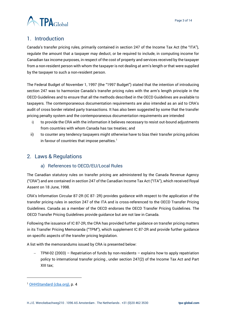



#### <span id="page-2-0"></span>1. Introduction

Canada's transfer pricing rules, primarily contained in section 247 of the Income Tax Act (the "ITA"), regulate the amount that a taxpayer may deduct, or be required to include, in computing income for Canadian tax income purposes, in respect of the cost of property and services received by the taxpayer from a non-resident person with whom the taxpayer is not dealing at arm's length or that were supplied by the taxpayer to such a non-resident person.

The Federal Budget of November 1, 1997 (the "1997 Budget") stated that the intention of introducing section 247 was to harmonize Canada's transfer pricing rules with the arm's length principle in the OECD Guidelines and to ensure that all the methods described in the OECD Guidelines are available to taxpayers. The contemporaneous documentation requirements are also intended as an aid to CRA's audit of cross border related party transactions. It has also been suggested by some that the transfer pricing penalty system and the contemporaneous documentation requirements are intended

- i) to provide the CRA with the information it believes necessary to resist out-bound adjustments from countries with whom Canada has tax treaties; and
- ii) to counter any tendency taxpayers might otherwise have to bias their transfer pricing policies in favour of countries that impose penalties.<sup>1</sup>

#### <span id="page-2-2"></span><span id="page-2-1"></span>2. Laws & Regulations

#### a) References to OECD/EU/Local Rules

The Canadian statutory rules on transfer pricing are administered by the Canada Revenue Agency ("CRA") and are contained in section 247 of the Canadian Income Tax Act ("ITA"), which received Royal Assent on 18 June, 1998.

CRA's Information Circular 87-2R (IC 87- 2R) provides guidance with respect to the application of the transfer pricing rules in section 247 of the ITA and is cross-referenced to the OECD Transfer Pricing Guidelines. Canada as a member of the OECD endorses the OECD Transfer Pricing Guidelines. The OECD Transfer Pricing Guidelines provide guidance but are not law in Canada.

Following the issuance of IC 87-2R, the CRA has provided further guidance on transfer pricing matters in its Transfer Pricing Memoranda ("TPM"), which supplement IC 87-2R and provide further guidance on specific aspects of the transfer pricing legislation.

A list with the memorandums issued by CRA is presented below:

− TPM-02 (2003) – Repatriation of funds by non-residents – explains how to apply repatriation policy to international transfer pricing , under section 247(2) of the Income Tax Act and Part XIII tax;

<sup>1</sup> [OHHStandard \(cba.org\),](http://cba.org/cba/cle/PDF/TAX11_Murray_Paper.pdf) p. 4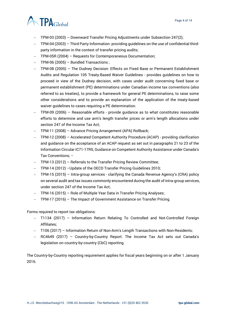

- − TPM-03 (2003) Downward Transfer Pricing Adjustments under Subsection 247(2);
- − TPM-04 (2003) Third Party Information- providing guidelines on the use of confidential thirdparty information in the context of transfer pricing audits;
- − TPM-05R (2004) Requests for Contemporaneous Documentation;
- − TPM-06 (2005) Bundled Transactions ;
- − TPM-08 (2005) The Dudney Decision: Effects on Fixed Base or Permanent Establishment Audits and Regulation 105 Treaty-Based Waiver Guidelines - provides guidelines on how to proceed in view of the Dudney decision, with cases under audit concerning fixed base or permanent establishment (PE) determinations under Canadian income tax conventions (also referred to as treaties), to provide a framework for general PE determinations, to raise some other considerations and to provide an explanation of the application of the treaty-based waiver guidelines to cases requiring a PE determination.
- − TPM-09 (2006) Reasonable efforts provide guidance as to what constitutes reasonable efforts to determine and use arm's length transfer prices or arm's length allocations under section 247 of the Income Tax Act;
- − TPM-11 (2008) Advance Pricing Arrangement (APA) Rollback;
- − TPM-12 (2008) Accelerated Competent Authority Procedure (ACAP) providing clarification and guidance on the acceptance of an ACAP request as set out in paragraphs 21 to 23 of the Information Circular IC71-17R5, Guidance on Competent Authority Assistance under Canada's Tax Conventions; −
- − TPM-13 (2012) Referrals to the Transfer Pricing Review Committee;
- − TPM-14 (2012) –Update of the OECD Transfer Pricing Guidelines 2010;
- − TPM-15 (2015) Intra-group services clarifying the Canada Revenue Agency's (CRA) policy on several audit and tax issues commonly encountered during the audit of intra-group services, under section 247 of the Income Tax Act;
- − TPM-16 (2015) Role of Multiple Year Data in Transfer Pricing Analyses;
- − TPM-17 (2016) The Impact of Government Assistance on Transfer Pricing.

Forms required to report tax obligations:

- − T1134 (2017) Information Return Relating To Controlled and Not-Controlled Foreign Affiliates;
- − T106 (2017) Information Return of Non-Arm's Length Transactions with Non-Residents;
- − RC4649 (2017) Country-by-Country Report. The Income Tax Act sets out Canada's legislation on country-by-country (CbC) reporting.

The Country-by-Country reporting requirement applies for fiscal years beginning on or after 1 January 2016.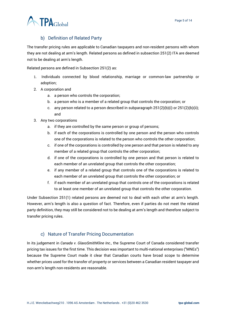

#### b) Definition of Related Party

<span id="page-4-0"></span>The transfer pricing rules are applicable to Canadian taxpayers and non-resident persons with whom they are not dealing at arm's length. Related persons as defined in subsection 251(2) ITA are deemed not to be dealing at arm's length.

Related persons are defined in Subsection 251(2) as:

- 1. Individuals connected by blood relationship, marriage or common-law partnership or adoption;
- 2. A corporation and
	- a. a person who controls the corporation;
	- b. a person who is a member of a related group that controls the corporation; or
	- c. any person related to a person described in subparagraph  $251(2)(b)(i)$  or  $251(2)(b)(ii);$ and
- 3. Any two corporations
	- a. if they are controlled by the same person or group of persons;
	- b. if each of the corporations is controlled by one person and the person who controls one of the corporations is related to the person who controls the other corporation;
	- c. if one of the corporations is controlled by one person and that person is related to any member of a related group that controls the other corporation;
	- d. if one of the corporations is controlled by one person and that person is related to each member of an unrelated group that controls the other corporation;
	- e. if any member of a related group that controls one of the corporations is related to each member of an unrelated group that controls the other corporation; or
	- f. if each member of an unrelated group that controls one of the corporations is related to at least one member of an unrelated group that controls the other corporation.

Under Subsection 251(1) related persons are deemed not to deal with each other at arm's length. However, arm's length is also a question of fact. Therefore, even if parties do not meet the related party definition, they may still be considered not to be dealing at arm's length and therefore subject to transfer pricing rules.

#### c) Nature of Transfer Pricing Documentation

<span id="page-4-1"></span>In its judgement in *Canada v. GlaxoSmithKline Inc.,* the Supreme Court of Canada considered transfer pricing tax issues for the first time. This decision was important to multi-national enterprises ("MNEs") because the Supreme Court made it clear that Canadian courts have broad scope to determine whether prices used for the transfer of property or services between a Canadian resident taxpayer and non-arm's length non-residents are reasonable.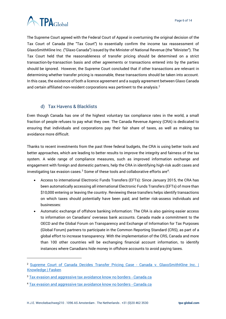

The Supreme Court agreed with the Federal Court of Appeal in overturning the original decision of the Tax Court of Canada (the "Tax Court") to essentially confirm the income tax reassessment of GlaxoSmithKline Inc. ("Glaxo Canada") issued by the Minister of National Revenue (the "Minister"). The Tax Court held that the reasonableness of transfer pricing should be determined on a strict transaction-by-transaction basis and other agreements or transactions entered into by the parties should be ignored. However, the Supreme Court concluded that if other transactions are relevant in determining whether transfer pricing is reasonable, these transactions should be taken into account. In this case, the existence of both a licence agreement and a supply agreement between Glaxo Canada and certain affiliated non-resident corporations was pertinent to the analysis.<sup>2</sup>

#### d) Tax Havens & Blacklists

<span id="page-5-0"></span>Even though Canada has one of the highest voluntary tax compliance rates in the world, a small fraction of people refuses to pay what they owe. The Canada Revenue Agency (CRA) is dedicated to ensuring that individuals and corporations pay their fair share of taxes, as well as making tax avoidance more difficult.

Thanks to recent investments from the past three federal budgets, the CRA is using better tools and better approaches, which are leading to better results to improve the integrity and fairness of the tax system. A wide range of compliance measures, such as improved information exchange and engagement with foreign and domestic partners, help the CRA in identifying high-risk audit cases and investigating tax evasion cases. $^3$  Some of these tools and collaborative efforts are $^4\!$ :

- Access to international Electronic Funds Transfers (EFTs): Since January 2015, the CRA has been automatically accessing all international Electronic Funds Transfers (EFTs) of more than \$10,000 entering or leaving the country. Reviewing these transfers helps identify transactions on which taxes should potentially have been paid, and better risk-assess individuals and businesses:
- Automatic exchange of offshore banking information: The CRA is also gaining easier access to information on Canadians' overseas bank accounts. Canada made a commitment to the OECD and the Global Forum on Transparency and Exchange of Information for Tax Purposes (Global Forum) partners to participate in the Common Reporting Standard (CRS), as part of a global effort to increase transparency. With the implementation of the CRS, Canada and more than 100 other countries will be exchanging financial account information, to identify instances where Canadians hide money in offshore accounts to avoid paying taxes.

<sup>2</sup> [Supreme Court of Canada Decides Transfer Pricing Case -](https://www.fasken.com/en/knowledge/2012/10/taxbulletin-20121024) Canada v. GlaxoSmithKline Inc. | [Knowledge | Fasken](https://www.fasken.com/en/knowledge/2012/10/taxbulletin-20121024)

<sup>&</sup>lt;sup>3</sup> [Tax evasion and aggressive tax avoidance know no borders -](https://www.canada.ca/en/revenue-agency/campaigns/tax-evasion-no-borders.html) Canada.ca

<sup>4</sup> [Tax evasion and aggressive tax avoidance know no borders -](https://www.canada.ca/en/revenue-agency/campaigns/tax-evasion-no-borders.html) Canada.ca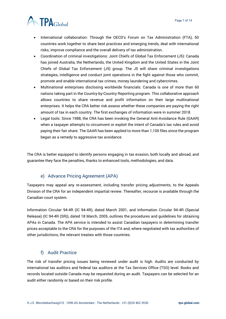

- International collaboration: Through the OECD's Forum on Tax Administration (FTA), 50 countries work together to share best practices and emerging trends, deal with international risks, improve compliance and the overall delivery of tax administration.
- Coordination of criminal investigations: Joint Chiefs of Global Tax Enforcement (J5): Canada has joined Australia, the Netherlands, the United Kingdom and the United States in the Joint Chiefs of Global Tax Enforcement (J5) group. The J5 will share criminal investigations strategies, intelligence and conduct joint operations in the fight against those who commit, promote and enable international tax crimes, money laundering and cybercrimes.
- Multinational enterprises disclosing worldwide financials: Canada is one of more than 60 nations taking part in the [Country-by-Country Reporting](https://www.canada.ca/en/revenue-agency/services/tax/international-non-residents/businesses-international-non-resident-taxes/country-reporting.html) program. This collaborative approach allows countries to share revenue and profit information on their large multinational enterprises. It helps the CRA better risk assess whether these companies are paying the right amount of tax in each country. The first exchanges of information were in summer 2018.
- Legal tools: Since 1988, the CRA has been invoking the General Anti-Avoidance Rule (GAAR) when a taxpayer attempts to circumvent or exploit the intent of Canada's tax rules and avoid paying their fair share. The GAAR has been applied to more than 1,100 files since the program began as a remedy to aggressive tax avoidance.

The CRA is better equipped to identify persons engaging in tax evasion, both locally and abroad, and guarantee they face the penalties, thanks to enhanced tools, methodologies, and data.

#### e) Advance Pricing Agreement (APA)

<span id="page-6-0"></span>Taxpayers may appeal any re-assessment, including transfer pricing adjustments, to the Appeals Division of the CRA for an independent impartial review. Thereafter, recourse is available through the Canadian court system.

Information Circular 94-4R (IC 94-4R), dated March 2001, and Information Circular 94-4R (Special Release) (IC 94-4R (SR)), dated 18 March, 2005, outlines the procedures and guidelines for obtaining APAs in Canada. The APA service is intended to assist Canadian taxpayers in determining transfer prices acceptable to the CRA for the purposes of the ITA and, where negotiated with tax authorities of other jurisdictions, the relevant treaties with those countries.

#### f) Audit Practice

<span id="page-6-1"></span>The risk of transfer pricing issues being reviewed under audit is high. Audits are conducted by international tax auditors and federal tax auditors at the Tax Services Office (TSO) level. Books and records located outside Canada may be requested during an audit. Taxpayers can be selected for an audit either randomly or based on their risk profile.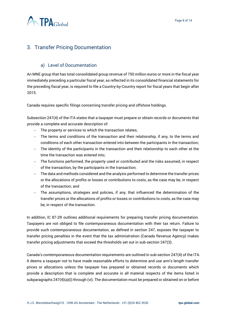

#### <span id="page-7-0"></span>3. Transfer Pricing Documentation

#### a) Level of Documentation

<span id="page-7-1"></span>An MNE group that has total consolidated group revenue of 750 million euros or more in the fiscal year immediately preceding a particular fiscal year, as reflected in its consolidated financial statements for the preceding fiscal year, is required to file a Country-by-Country report for fiscal years that begin after 2015.

Canada requires specific filings concerning transfer pricing and offshore holdings.

Subsection 247(4) of the ITA states that a taxpayer must prepare or obtain records or documents that provide a complete and accurate description of:

- − The property or services to which the transaction relates;
- − The terms and conditions of the transaction and their relationship, if any, to the terms and conditions of each other transaction entered into between the participants in the transaction;
- − The identity of the participants in the transaction and their relationship to each other at the time the transaction was entered into;
- − The functions performed, the property used or contributed and the risks assumed, in respect of the transaction, by the participants in the transaction;
- − The data and methods considered and the analysis performed to determine the transfer prices or the allocations of profits or losses or contributions to costs, as the case may be, in respect of the transaction; and
- − The assumptions, strategies and policies, if any, that influenced the determination of the transfer prices or the allocations of profits or losses or contributions to costs, as the case may be, in respect of the transaction.

In addition, IC 87-2R outlines additional requirements for preparing transfer pricing documentation. Taxpayers are not obliged to file contemporaneous documentation with their tax return. Failure to provide such contemporaneous documentation, as defined in section 247, exposes the taxpayer to transfer pricing penalties in the event that the tax administration (Canada Revenue Agency) makes transfer pricing adjustments that exceed the thresholds set out in sub-section 247(3).

Canada's contemporaneous documentation requirements are outlined in sub-section 247(4) of the ITA. It deems a taxpayer not to have made reasonable efforts to determine and use arm's length transfer prices or allocations unless the taxpayer has prepared or obtained records or documents which provide a description that is complete and accurate in all material respects of the items listed in subparagraphs 247(4)(a)(i) through (vi). The documentation must be prepared or obtained on or before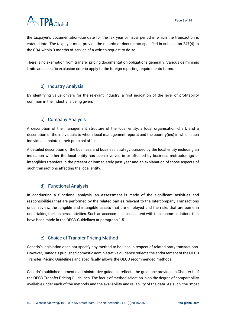

the taxpayer's documentation-due date for the tax year or fiscal period in which the transaction is entered into. The taxpayer must provide the records or documents specified in subsection 247(4) to the CRA within 3 months of service of a written request to do so.

There is no exemption from transfer pricing documentation obligations generally. Various de minimis limits and specific exclusion criteria apply to the foreign reporting requirements forms.

#### b) Industry Analysis

<span id="page-8-0"></span>By identifying value drivers for the relevant industry, a first indication of the level of profitability common in the industry is being given.

#### c) Company Analysis

<span id="page-8-1"></span>A description of the management structure of the local entity, a local organisation chart, and a description of the individuals to whom local management reports and the country(ies) in which such individuals maintain their principal offices.

A detailed description of the business and business strategy pursued by the local entity including an indication whether the local entity has been involved in or affected by business restructurings or intangibles transfers in the present or immediately past year and an explanation of those aspects of such transactions affecting the local entity.

#### d) Functional Analysis

<span id="page-8-2"></span>In conducting a functional analysis, an assessment is made of the significant activities and responsibilities that are performed by the related parties relevant to the Intercompany Transactions under review, the tangible and intangible assets that are employed and the risks that are borne in undertaking the business activities. Such an assessment is consistent with the recommendations that have been made in the OECD Guidelines at paragraph 1.51.

#### e) Choice of Transfer Pricing Method

<span id="page-8-3"></span>Canada's legislation does not specify any method to be used in respect of related party transactions. However, Canada's published domestic administrative guidance reflects the endorsement of the OECD Transfer Pricing Guidelines and specifically allows the OECD recommended methods.

Canada's published domestic administrative guidance reflects the guidance provided in Chapter II of the OECD Transfer Pricing Guidelines. The focus of method selection is on the degree of comparability available under each of the methods and the availability and reliability of the data. As such, the "most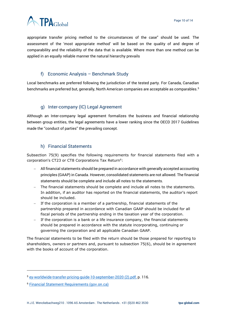



appropriate transfer pricing method to the circumstances of the case" should be used. The assessment of the 'most appropriate method' will be based on the quality of and degree of comparability and the reliability of the data that is available. Where more than one method can be applied in an equally reliable manner the natural hierarchy prevails

#### f) Economic Analysis – Benchmark Study

<span id="page-9-0"></span>Local benchmarks are preferred following the jurisdiction of the tested party. For Canada, Canadian benchmarks are preferred but, generally, North American companies are acceptable as comparables.<sup>5</sup>

#### g) Inter-company (IC) Legal Agreement

<span id="page-9-1"></span>Although an Inter-company legal agreement formalizes the business and financial relationship between group entities, the legal agreements have a lower ranking since the OECD 2017 Guidelines made the ''conduct of parties'' the prevailing concept.

#### h) Financial Statements

<span id="page-9-2"></span>Subsection 75(9) specifies the following requirements for financial statements filed with a corporation's CT23 or CT8 Corporations Tax Return<sup>6</sup>:

- − All financial statements should be prepared in accordance with generally accepted accounting principles (GAAP) in Canada. However, consolidated statements are not allowed. The financial statements should be complete and include all notes to the statements.
- The financial statements should be complete and include all notes to the statements. In addition, if an auditor has reported on the financial statements, the auditor's report should be included.
- − If the corporation is a member of a partnership, financial statements of the partnership prepared in accordance with Canadian GAAP should be included for all fiscal periods of the partnership ending in the taxation year of the corporation.
- − If the corporation is a bank or a life insurance company, the financial statements should be prepared in accordance with the statute incorporating, continuing or governing the corporation and all applicable Canadian GAAP.

The financial statements to be filed with the return should be those prepared for reporting to shareholders, owners or partners and, pursuant to subsection 75(6), should be in agreement with the books of account of the corporation.

<sup>5</sup> [ey-worldwide-transfer-pricing-guide-10-september-2020 \(2\).pdf,](file:///C:/Users/m.pereira/OneDrive%20-%20TPA%20Global/Documents/Country%20Summary/ey-worldwide-transfer-pricing-guide-10-september-2020%20(2).pdf) p. 116.

<sup>6</sup> [Financial Statement Requirements \(gov.on.ca\)](https://www.fin.gov.on.ca/en/bulletins/ct/4002.html)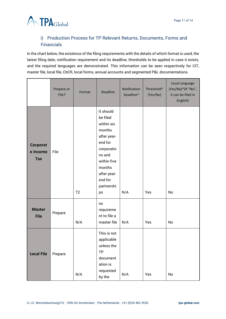

#### <span id="page-10-0"></span>i) Production Process for TP Relevant Returns, Documents, Forms and **Financials**

In the chart below, the existence of the filing requirements with the details of which format is used, the latest filing date, notification requirement and its deadline, thresholds to be applied in case it exists, and the required languages are demonstrated. This information can be seen respectively for CIT, master file, local file, CbCR, local forms, annual accounts and segmented P&L documentations.

|                                    | Prepare or<br>File? | Format | <b>Deadline</b>                                                                                                                                                        | Notification<br>Deadline* | Threshold*<br>(Yes/No) | Local Language<br>(Yes/No)*(If "No",<br>it can be filed in<br>English) |
|------------------------------------|---------------------|--------|------------------------------------------------------------------------------------------------------------------------------------------------------------------------|---------------------------|------------------------|------------------------------------------------------------------------|
| Corporat<br>e Income<br><b>Tax</b> | File                | T2     | It should<br>be filed<br>within six<br>months<br>after year-<br>end for<br>corporatio<br>ns and<br>within five<br>months<br>after year-<br>end for<br>partnershi<br>ps | N/A                       | Yes                    | No                                                                     |
| <b>Master</b><br><b>File</b>       | Prepare             | N/A    | no<br>requireme<br>nt to file a<br>master file                                                                                                                         | N/A                       | Yes                    | No                                                                     |
| <b>Local File</b>                  | Prepare             | N/A    | This is not<br>applicable<br>unless the<br><b>TP</b><br>document<br>ation is<br>requested<br>by the                                                                    | N/A                       | Yes                    | No                                                                     |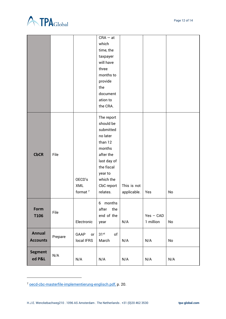



|                 |         |               | $CRA - at$             |             |             |               |
|-----------------|---------|---------------|------------------------|-------------|-------------|---------------|
|                 |         |               | which                  |             |             |               |
|                 |         |               | time, the              |             |             |               |
|                 |         |               | taxpayer               |             |             |               |
|                 |         |               | will have              |             |             |               |
|                 |         |               | three                  |             |             |               |
|                 |         |               | months to              |             |             |               |
|                 |         |               | provide                |             |             |               |
|                 |         |               | the                    |             |             |               |
|                 |         |               | document               |             |             |               |
|                 |         |               | ation to               |             |             |               |
|                 |         |               | the CRA.               |             |             |               |
|                 |         |               | The report             |             |             |               |
|                 | File    |               | should be              |             |             |               |
|                 |         |               | submitted              |             |             |               |
|                 |         |               | no later               |             |             |               |
|                 |         |               | than 12                |             |             |               |
|                 |         |               | months                 |             |             |               |
| <b>CbCR</b>     |         |               | after the              |             |             |               |
|                 |         |               | last day of            |             |             |               |
|                 |         |               | the fiscal             |             |             |               |
|                 |         |               | year to                |             |             |               |
|                 |         | OECD's<br>XML | which the              | This is not |             |               |
|                 |         | format $7$    | CbC report<br>relates. | applicable. | Yes         | No            |
|                 |         |               |                        |             |             |               |
|                 | File    |               | 6 months               |             |             |               |
| Form            |         |               | the<br>after           |             |             |               |
| <b>T106</b>     |         |               | end of the             |             | $Yes - CAD$ |               |
|                 |         | Electronic    | year                   | N/A         | 1 million   | No            |
| <b>Annual</b>   | Prepare | GAAP<br>or    | 31 <sup>st</sup><br>of |             |             |               |
| <b>Accounts</b> |         | local IFRS    | March                  | N/A         | N/A         | $\mathsf{No}$ |
|                 | N/A     |               |                        |             |             |               |
| <b>Segment</b>  |         |               |                        |             |             |               |
| ed P&L          |         | N/A           | N/A                    | N/A         | N/A         | N/A           |

<sup>7</sup> [oecd-cbc-masterfile-implementierung-englisch.pdf,](file:///C:/Users/m.pereira/OneDrive%20-%20TPA%20Global/Documents/Country%20Summary/oecd-cbc-masterfile-implementierung-englisch.pdf) p. 20.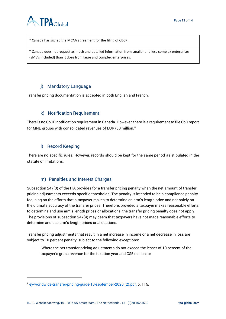

\* Canada has signed the MCAA agreement for the filing of CBCR.

\* Canada does not request as much and detailed information from smaller and less complex enterprises (SME's included) than it does from large and complex enterprises.

#### j) Mandatory Language

<span id="page-12-0"></span>Transfer pricing documentation is accepted in both English and French.

#### k) Notification Requirement

<span id="page-12-1"></span>There is no CbCR notification requirement in Canada. However, there is a requirement to file CbC report for MNE groups with consolidated revenues of EUR750 million.<sup>8</sup>

#### l) Record Keeping

<span id="page-12-2"></span>There are no specific rules. However, records should be kept for the same period as stipulated in the statute of limitations.

#### m) Penalties and Interest Charges

<span id="page-12-3"></span>Subsection 247(3) of the ITA provides for a transfer pricing penalty when the net amount of transfer pricing adjustments exceeds specific thresholds. The penalty is intended to be a compliance penalty focusing on the efforts that a taxpayer makes to determine an arm's length price and not solely on the ultimate accuracy of the transfer prices. Therefore, provided a taxpayer makes reasonable efforts to determine and use arm's length prices or allocations, the transfer pricing penalty does not apply. The provisions of subsection 247(4) may deem that taxpayers have not made reasonable efforts to determine and use arm's length prices or allocations.

Transfer pricing adjustments that result in a net increase in income or a net decrease in loss are subject to 10 percent penalty, subject to the following exceptions:

− Where the net transfer pricing adjustments do not exceed the lesser of 10 percent of the taxpayer's gross revenue for the taxation year and C\$5 million; or

<sup>8</sup> [ey-worldwide-transfer-pricing-guide-10-september-2020 \(2\).pdf,](file:///C:/Users/m.pereira/OneDrive%20-%20TPA%20Global/Documents/Country%20Summary/ey-worldwide-transfer-pricing-guide-10-september-2020%20(2).pdf) p. 115.